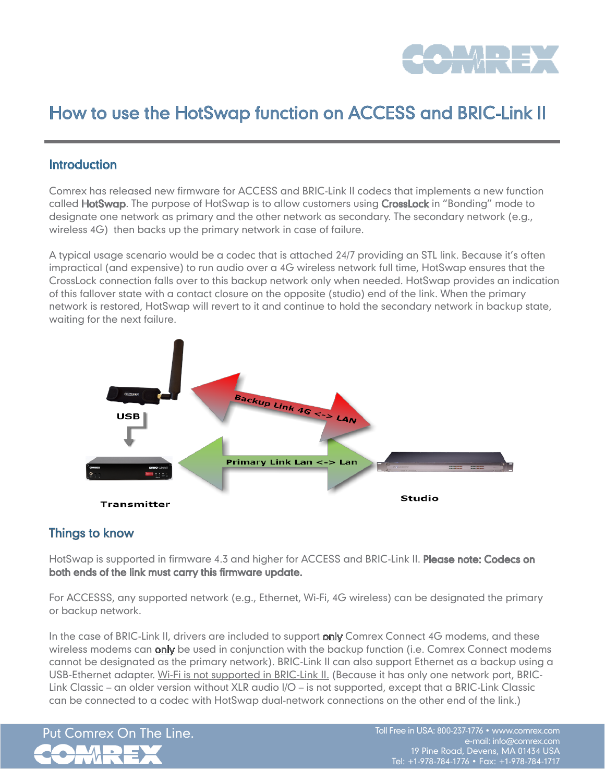

# How to use the HotSwap function on ACCESS and BRIC-Link II

### **Introduction**

Comrex has released new firmware for ACCESS and BRIC-Link II codecs that implements a new function called **HotSwap**. The purpose of HotSwap is to allow customers using **CrossLock** in "Bonding" mode to designate one network as primary and the other network as secondary. The secondary network (e.g., wireless 4G) then backs up the primary network in case of failure.

A typical usage scenario would be a codec that is attached 24/7 providing an STL link. Because it's often impractical (and expensive) to run audio over a 4G wireless network full time, HotSwap ensures that the CrossLock connection falls over to this backup network only when needed. HotSwap provides an indication of this fallover state with a contact closure on the opposite (studio) end of the link. When the primary network is restored, HotSwap will revert to it and continue to hold the secondary network in backup state, waiting for the next failure.



# Things to know

HotSwap is supported in firmware 4.3 and higher for ACCESS and BRIC-Link II. Please note: Codecs on both ends of the link must carry this firmware update.

For ACCESSS, any supported network (e.g., Ethernet, Wi-Fi, 4G wireless) can be designated the primary or backup network.

In the case of BRIC-Link II, drivers are included to support **only** Comrex Connect 4G modems, and these wireless modems can **only** be used in conjunction with the backup function (i.e. Comrex Connect modems cannot be designated as the primary network). BRIC-Link II can also support Ethernet as a backup using a USB-Ethernet adapter. Wi-Fi is not supported in BRIC-Link II. (Because it has only one network port, BRIC-Link Classic – an older version without XLR audio I/O – is not supported, except that a BRIC-Link Classic can be connected to a codec with HotSwap dual-network connections on the other end of the link.)

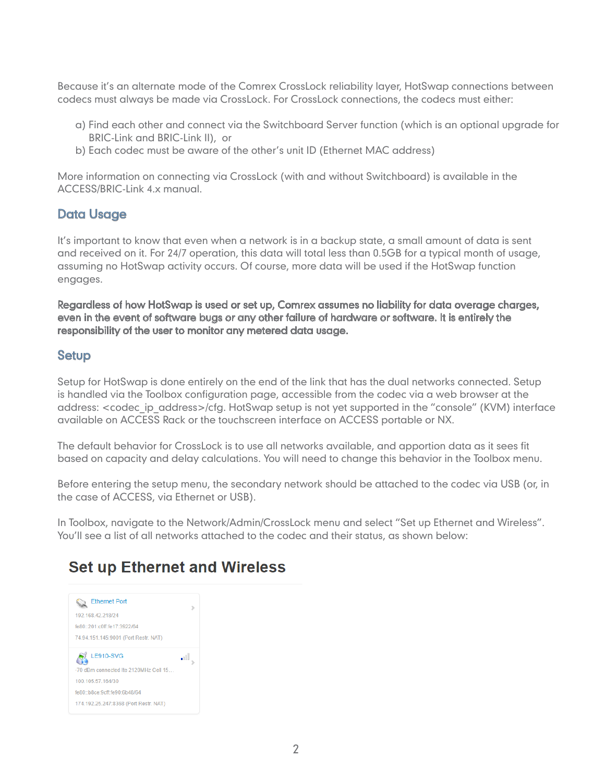Because it's an alternate mode of the Comrex CrossLock reliability layer, HotSwap connections between codecs must always be made via CrossLock. For CrossLock connections, the codecs must either:

- a) Find each other and connect via the Switchboard Server function (which is an optional upgrade for BRIC-Link and BRIC-Link II), or
- b) Each codec must be aware of the other's unit ID (Ethernet MAC address)

More information on connecting via CrossLock (with and without Switchboard) is available in the ACCESS/BRIC-Link 4.x manual.

# Data Usage

It's important to know that even when a network is in a backup state, a small amount of data is sent and received on it. For 24/7 operation, this data will total less than 0.5GB for a typical month of usage, assuming no HotSwap activity occurs. Of course, more data will be used if the HotSwap function engages.

Regardless of how HotSwap is used or set up, Comrex assumes no liability for data overage charges, even in the event of software bugs or any other failure of hardware or software. It is entirely the responsibility of the user to monitor any metered data usage.

# Setup

Setup for HotSwap is done entirely on the end of the link that has the dual networks connected. Setup is handled via the Toolbox configuration page, accessible from the codec via a web browser at the address: <codec ip address>/cfg. HotSwap setup is not yet supported in the "console" (KVM) interface available on ACCESS Rack or the touchscreen interface on ACCESS portable or NX.

The default behavior for CrossLock is to use all networks available, and apportion data as it sees fit based on capacity and delay calculations. You will need to change this behavior in the Toolbox menu.

Before entering the setup menu, the secondary network should be attached to the codec via USB (or, in the case of ACCESS, via Ethernet or USB).

In Toolbox, navigate to the Network/Admin/CrossLock menu and select "Set up Ethernet and Wireless". You'll see a list of all networks attached to the codec and their status, as shown below:

# **Set up Ethernet and Wireless**

| <b>Ethernet Port</b>                  |  |
|---------------------------------------|--|
| 192.168.42.218/24                     |  |
| fe80::201:c0ff:fe17:3922/64           |  |
| 74.94.151.145:9001 (Port Restr. NAT)  |  |
| <b>LE910-SVG</b>                      |  |
| -70 dBm connected Ite 2120MHz Cell 15 |  |
| 100.105.57.164/30                     |  |
| fe80::b8ce:9cff:fe90:6b48/64          |  |
| 174.192.25.247:8368 (Port Restr. NAT) |  |
|                                       |  |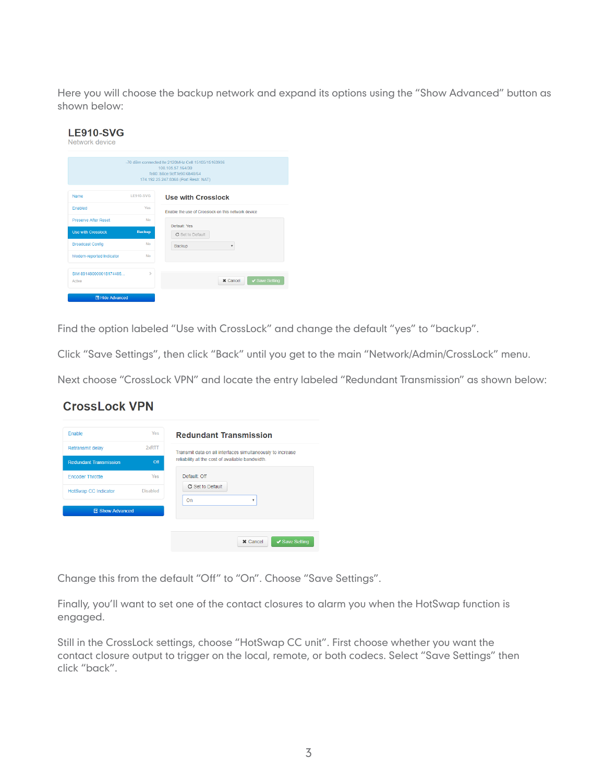Here you will choose the backup network and expand its options using the "Show Advanced" button as shown below:

| <b>LE910-SVG</b><br>Network device |                  |                                                                                                                                                 |
|------------------------------------|------------------|-------------------------------------------------------------------------------------------------------------------------------------------------|
|                                    |                  | -70 dBm connected Ite 2120MHz Cell 15105/15163936<br>100 105 57 164/30<br>fe80::b8ce:9cff:fe90:6b48/64<br>174.192.25.247:8368 (Port Restr. NAT) |
| Name                               | <b>LE910-SVG</b> | <b>Use with Crosslock</b>                                                                                                                       |
| Enabled                            | Yes              | Enable the use of Crosslock on this network device                                                                                              |
| <b>Preserve After Reset</b>        | <b>No</b>        | Default: Yes                                                                                                                                    |
| <b>Use with Crosslock</b>          | <b>Backup</b>    | <b>C</b> Set to Default                                                                                                                         |
| <b>Broadcast Config</b>            | <b>No</b>        | Backup<br>۰                                                                                                                                     |
| Modem-reported Indicator           | No               |                                                                                                                                                 |
| SIM 891480000018174485<br>Active   | $\geq$           | ✔ Save Setting<br><b>*</b> Cancel                                                                                                               |
| 图 Hide Advanced                    |                  |                                                                                                                                                 |

Find the option labeled "Use with CrossLock" and change the default "yes" to "backup".

Click "Save Settings", then click "Back" until you get to the main "Network/Admin/CrossLock" menu.

Next choose "CrossLock VPN" and locate the entry labeled "Redundant Transmission" as shown below:

#### **CrossLock VPN**

| Enable                        | Yes             | <b>Redundant Transmission</b>                              |
|-------------------------------|-----------------|------------------------------------------------------------|
| <b>Retransmit delay</b>       | $2x$ RTT        | Transmit data on all interfaces simultaneously to increase |
| <b>Redundant Transmission</b> | $off$           | reliability at the cost of available bandwidth.            |
| <b>Encoder Throttle</b>       | Yes             | Default: Off                                               |
| <b>HotSwap CC Indicator</b>   | <b>Disabled</b> | C Set to Default                                           |
|                               |                 | On<br>$\overline{\mathbf{v}}$                              |
| <b>图 Show Advanced</b>        |                 |                                                            |

Change this from the default "Off" to "On". Choose "Save Settings".

Finally, you'll want to set one of the contact closures to alarm you when the HotSwap function is engaged.

Still in the CrossLock settings, choose "HotSwap CC unit". First choose whether you want the contact closure output to trigger on the local, remote, or both codecs. Select "Save Settings" then click "back".